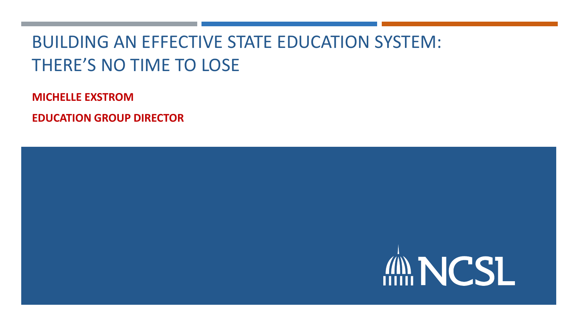# BUILDING AN EFFECTIVE STATE EDUCATION SYSTEM: THERE'S NO TIME TO LOSE

**MICHELLE EXSTROM**

**EDUCATION GROUP DIRECTOR**

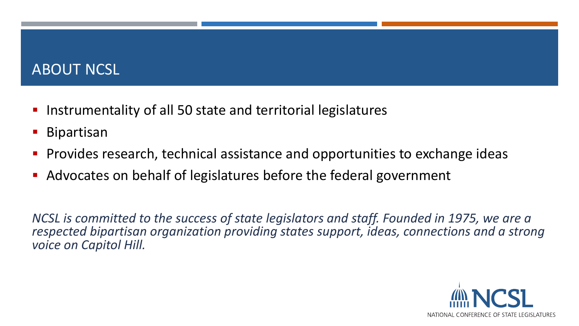### ABOUT NCSL

- **Instrumentality of all 50 state and territorial legislatures**
- Bipartisan
- **Provides research, technical assistance and opportunities to exchange ideas**
- Advocates on behalf of legislatures before the federal government

*NCSL is committed to the success of state legislators and staff. Founded in 1975, we are a respected bipartisan organization providing states support, ideas, connections and a strong voice on Capitol Hill.*

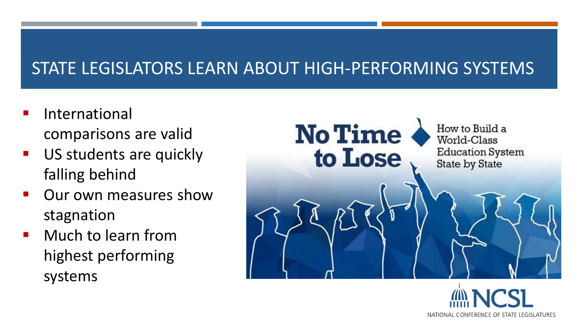# STATE LEGISLATORS LEARN ABOUT HIGH-PERFORMING SYSTEMS

- International comparisons are valid
- US students are quickly falling behind
- Our own measures show stagnation
- Much to learn from highest performing systems



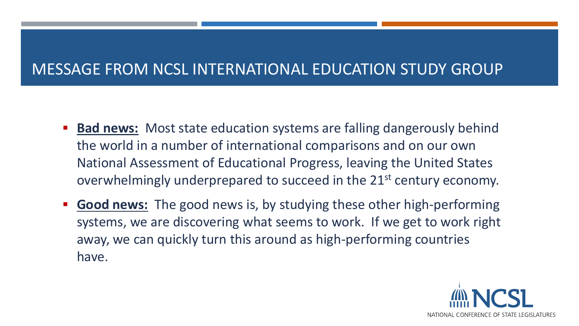## MESSAGE FROM NCSL INTERNATIONAL EDUCATION STUDY GROUP

- **Bad news:** Most state education systems are falling dangerously behind the world in a number of international comparisons and on our own National Assessment of Educational Progress, leaving the United States overwhelmingly underprepared to succeed in the 21<sup>st</sup> century economy.
- **Good news:** The good news is, by studying these other high-performing systems, we are discovering what seems to work. If we get to work right away, we can quickly turn this around as high-performing countries have.

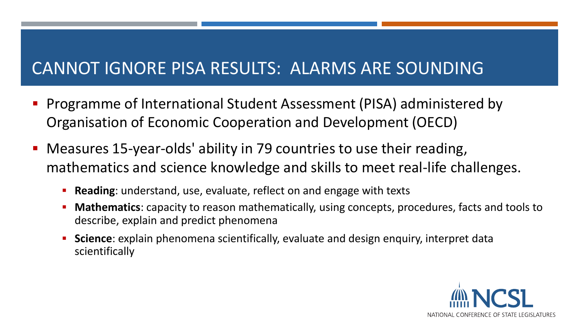# CANNOT IGNORE PISA RESULTS: ALARMS ARE SOUNDING

- **Programme of International Student Assessment (PISA) administered by** Organisation of Economic Cooperation and Development (OECD)
- Measures 15-year-olds' ability in 79 countries to use their reading, mathematics and science knowledge and skills to meet real-life challenges.
	- **Reading**: understand, use, evaluate, reflect on and engage with texts
	- **Mathematics**: capacity to reason mathematically, using concepts, procedures, facts and tools to describe, explain and predict phenomena
	- **Science**: explain phenomena scientifically, evaluate and design enquiry, interpret data scientifically

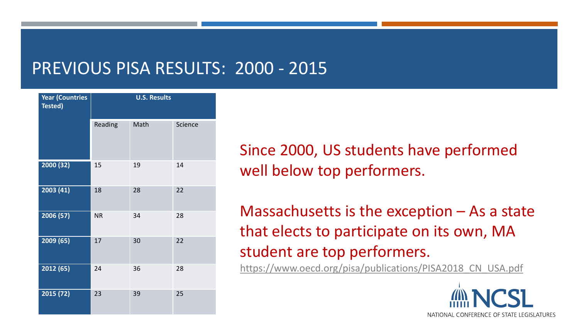# PREVIOUS PISA RESULTS: 2000 - 2015

| <b>Year (Countries</b><br>Tested) | <b>U.S. Results</b> |      |         |
|-----------------------------------|---------------------|------|---------|
|                                   | Reading             | Math | Science |
| 2000 (32)                         | 15                  | 19   | 14      |
| 2003 (41)                         | 18                  | 28   | 22      |
| 2006 (57)                         | <b>NR</b>           | 34   | 28      |
| 2009 (65)                         | 17                  | 30   | 22      |
| 2012 (65)                         | 24                  | 36   | 28      |
| 2015 (72)                         | 23                  | 39   | 25      |

Since 2000, US students have performed well below top performers.

Massachusetts is the exception – As a state that elects to participate on its own, MA student are top performers.

https://www.oecd.org/pisa/publications/PISA2018 CN USA.pdf

NATIONAL CONFERENCE OF STATE LEGISLATURES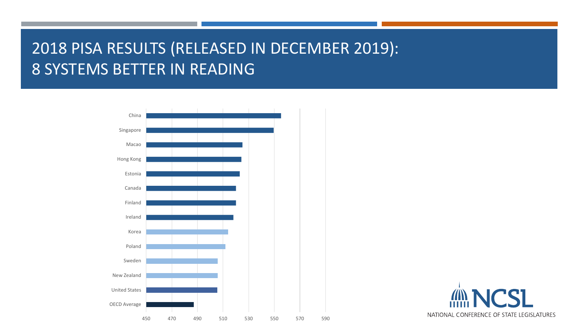# 2018 PISA RESULTS (RELEASED IN DECEMBER 2019): 8 SYSTEMS BETTER IN READING



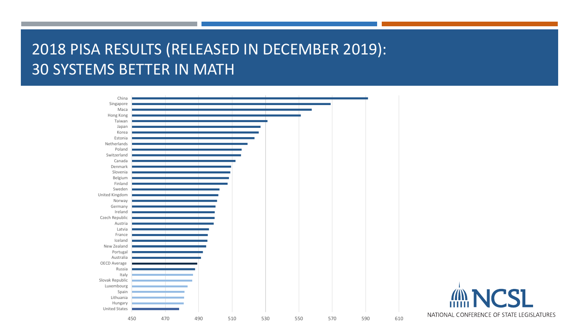## 2018 PISA RESULTS (RELEASED IN DECEMBER 2019): 30 SYSTEMS BETTER IN MATH



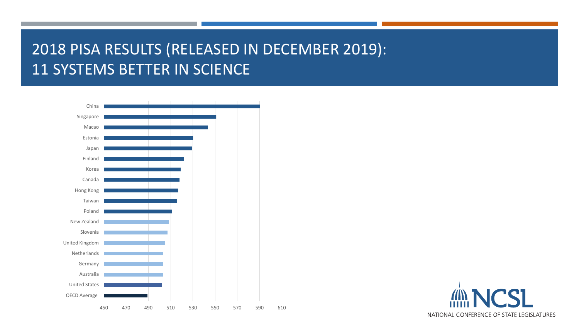## 2018 PISA RESULTS (RELEASED IN DECEMBER 2019): 11 SYSTEMS BETTER IN SCIENCE



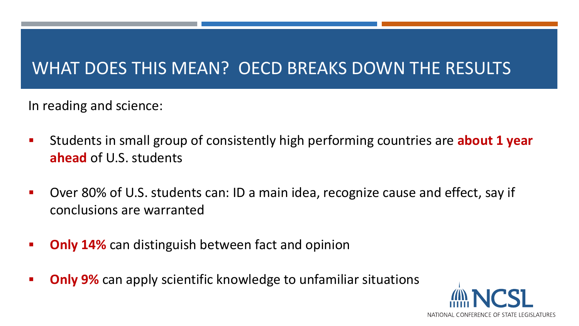# WHAT DOES THIS MEAN? OECD BREAKS DOWN THE RESULTS

In reading and science:

- Students in small group of consistently high performing countries are **about 1 year ahead** of U.S. students
- **Diden 20% of U.S. students can: ID a main idea, recognize cause and effect, say if 4** conclusions are warranted
- **Diamer 14%** can distinguish between fact and opinion
- **Diameta 12 Tele 2018 10 Sepannic Condom Condom Condom Condom Proget Condom Condom Condom Condom Proget Condom C**

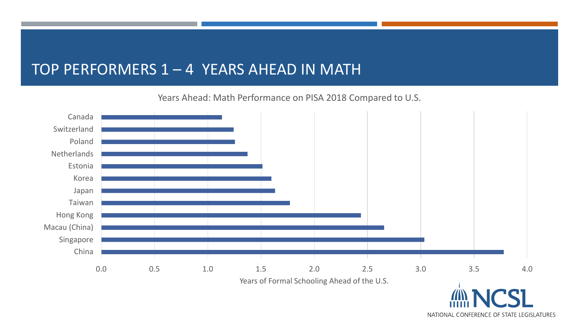### TOP PERFORMERS 1 – 4 YEARS AHEAD IN MATH

Years Ahead: Math Performance on PISA 2018 Compared to U.S.



NATIONAL CONFERENCE OF STATE LEGISLATURES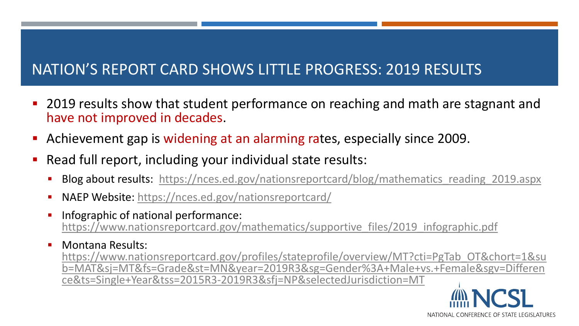## NATION'S REPORT CARD SHOWS LITTLE PROGRESS: 2019 RESULTS

- **2019 results show that student performance on reaching and math are stagnant and** have not improved in decades.
- Achievement gap is widening at an alarming rates, especially since 2009.
- Read full report, including your individual state results:
	- Blog about results: https://nces.ed.gov/nationsreportcard/blog/mathematics reading 2019.aspx
	- NAEP Website: <https://nces.ed.gov/nationsreportcard/>
	- Infographic of national performance: [https://www.nationsreportcard.gov/mathematics/supportive\\_files/2019\\_infographic.pdf](https://www.nationsreportcard.gov/mathematics/supportive_files/2019_infographic.pdf)
	- **Nontana Results:** https://www.nationsreportcard.gov/profiles/stateprofile/overview/MT?cti=PgTab\_OT&chort=1&su [b=MAT&sj=MT&fs=Grade&st=MN&year=2019R3&sg=Gender%3A+Male+vs.+Female&sgv=Differen](https://www.nationsreportcard.gov/profiles/stateprofile/overview/MT?cti=PgTab_OT&chort=1&sub=MAT&sj=MT&fs=Grade&st=MN&year=2019R3&sg=Gender:+Male+vs.+Female&sgv=Difference&ts=Single+Year&tss=2015R3-2019R3&sfj=NP&selectedJurisdiction=MT) ce&ts=Single+Year&tss=2015R3-2019R3&sfj=NP&selectedJurisdiction=MT

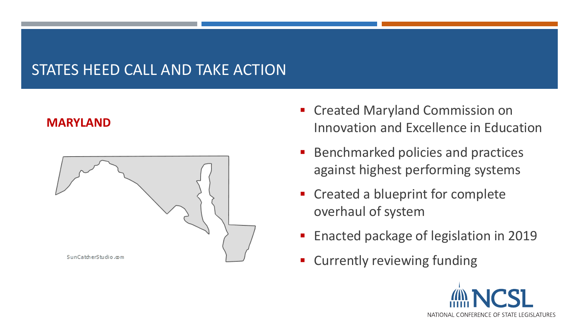### STATES HEED CALL AND TAKE ACTION

#### **MARYLAND**



- **EX Created Maryland Commission on** Innovation and Excellence in Education
- Benchmarked policies and practices against highest performing systems
- **EX Created a blueprint for complete** overhaul of system
- **Enacted package of legislation in 2019**
- Currently reviewing funding

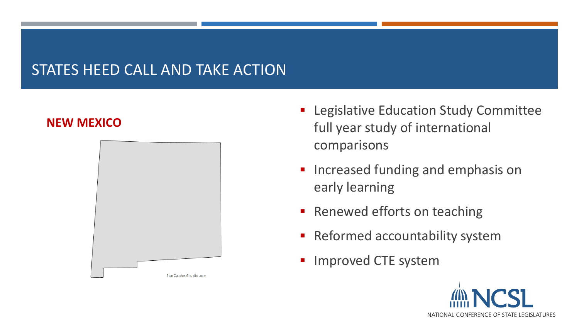### STATES HEED CALL AND TAKE ACTION

#### **NEW MEXICO**



- **Exercise Education Study Committee** full year study of international comparisons
- **Increased funding and emphasis on** early learning
- **Renewed efforts on teaching**
- **Reformed accountability system**
- Improved CTE system

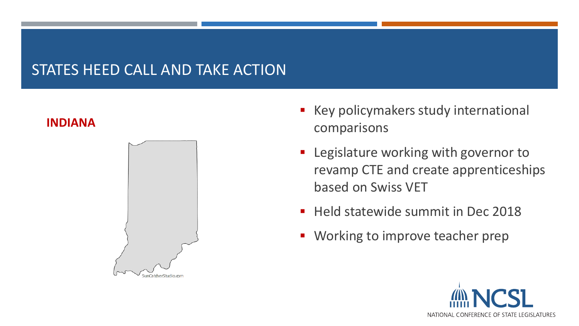#### STATES HEED CALL AND TAKE ACTION

#### **INDIANA**



- Key policymakers study international comparisons
- **EXEC** Legislature working with governor to revamp CTE and create apprenticeships based on Swiss VET
- **Held statewide summit in Dec 2018**
- **Working to improve teacher prep**

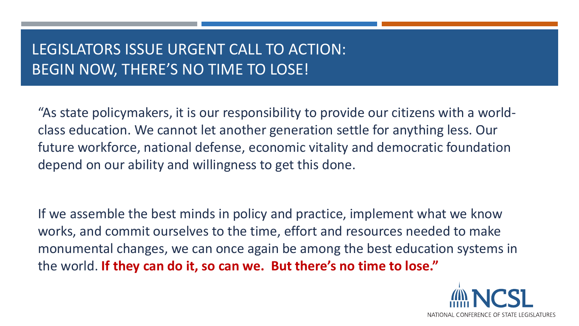## LEGISLATORS ISSUE URGENT CALL TO ACTION: BEGIN NOW, THERE'S NO TIME TO LOSE!

"As state policymakers, it is our responsibility to provide our citizens with a worldclass education. We cannot let another generation settle for anything less. Our future workforce, national defense, economic vitality and democratic foundation depend on our ability and willingness to get this done.

If we assemble the best minds in policy and practice, implement what we know works, and commit ourselves to the time, effort and resources needed to make monumental changes, we can once again be among the best education systems in the world. **If they can do it, so can we. But there's no time to lose."**